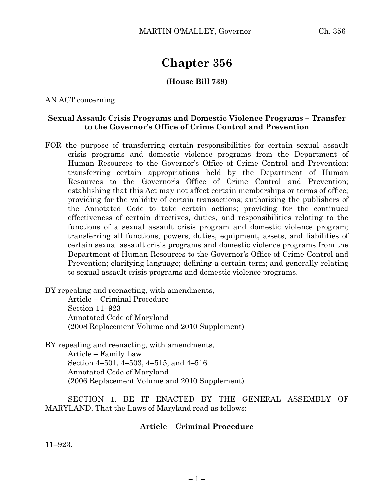# **Chapter 356**

### **(House Bill 739)**

AN ACT concerning

#### **Sexual Assault Crisis Programs and Domestic Violence Programs – Transfer to the Governor's Office of Crime Control and Prevention**

FOR the purpose of transferring certain responsibilities for certain sexual assault crisis programs and domestic violence programs from the Department of Human Resources to the Governor's Office of Crime Control and Prevention; transferring certain appropriations held by the Department of Human Resources to the Governor's Office of Crime Control and Prevention; establishing that this Act may not affect certain memberships or terms of office; providing for the validity of certain transactions; authorizing the publishers of the Annotated Code to take certain actions; providing for the continued effectiveness of certain directives, duties, and responsibilities relating to the functions of a sexual assault crisis program and domestic violence program; transferring all functions, powers, duties, equipment, assets, and liabilities of certain sexual assault crisis programs and domestic violence programs from the Department of Human Resources to the Governor's Office of Crime Control and Prevention; clarifying language; defining a certain term; and generally relating to sexual assault crisis programs and domestic violence programs.

BY repealing and reenacting, with amendments,

Article – Criminal Procedure Section 11–923 Annotated Code of Maryland (2008 Replacement Volume and 2010 Supplement)

BY repealing and reenacting, with amendments,

Article – Family Law Section 4–501, 4–503, 4–515, and 4–516 Annotated Code of Maryland (2006 Replacement Volume and 2010 Supplement)

SECTION 1. BE IT ENACTED BY THE GENERAL ASSEMBLY OF MARYLAND, That the Laws of Maryland read as follows:

#### **Article – Criminal Procedure**

11–923.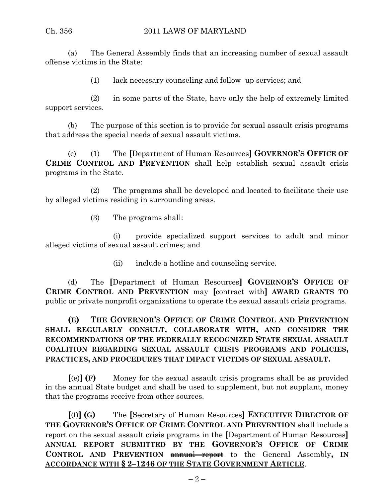(a) The General Assembly finds that an increasing number of sexual assault offense victims in the State:

(1) lack necessary counseling and follow–up services; and

(2) in some parts of the State, have only the help of extremely limited support services.

(b) The purpose of this section is to provide for sexual assault crisis programs that address the special needs of sexual assault victims.

(c) (1) The **[**Department of Human Resources**] GOVERNOR'S OFFICE OF CRIME CONTROL AND PREVENTION** shall help establish sexual assault crisis programs in the State.

(2) The programs shall be developed and located to facilitate their use by alleged victims residing in surrounding areas.

(3) The programs shall:

(i) provide specialized support services to adult and minor alleged victims of sexual assault crimes; and

(ii) include a hotline and counseling service.

(d) The **[**Department of Human Resources**] GOVERNOR'S OFFICE OF CRIME CONTROL AND PREVENTION** may **[**contract with**] AWARD GRANTS TO** public or private nonprofit organizations to operate the sexual assault crisis programs.

**(E) THE GOVERNOR'S OFFICE OF CRIME CONTROL AND PREVENTION SHALL REGULARLY CONSULT, COLLABORATE WITH, AND CONSIDER THE RECOMMENDATIONS OF THE FEDERALLY RECOGNIZED STATE SEXUAL ASSAULT COALITION REGARDING SEXUAL ASSAULT CRISIS PROGRAMS AND POLICIES, PRACTICES, AND PROCEDURES THAT IMPACT VICTIMS OF SEXUAL ASSAULT.**

**[**(e)**] (F)** Money for the sexual assault crisis programs shall be as provided in the annual State budget and shall be used to supplement, but not supplant, money that the programs receive from other sources.

**[**(f)**] (G)** The **[**Secretary of Human Resources**] EXECUTIVE DIRECTOR OF THE GOVERNOR'S OFFICE OF CRIME CONTROL AND PREVENTION** shall include a report on the sexual assault crisis programs in the **[**Department of Human Resources**] ANNUAL REPORT SUBMITTED BY THE GOVERNOR'S OFFICE OF CRIME CONTROL AND PREVENTION** annual report to the General Assembly**, IN ACCORDANCE WITH § 2–1246 OF THE STATE GOVERNMENT ARTICLE**.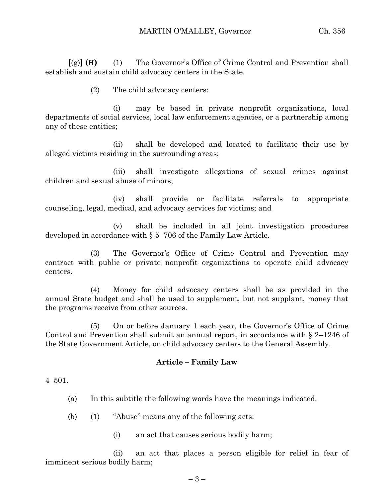**[**(g)**] (H)** (1) The Governor's Office of Crime Control and Prevention shall establish and sustain child advocacy centers in the State.

(2) The child advocacy centers:

(i) may be based in private nonprofit organizations, local departments of social services, local law enforcement agencies, or a partnership among any of these entities;

(ii) shall be developed and located to facilitate their use by alleged victims residing in the surrounding areas;

(iii) shall investigate allegations of sexual crimes against children and sexual abuse of minors;

(iv) shall provide or facilitate referrals to appropriate counseling, legal, medical, and advocacy services for victims; and

(v) shall be included in all joint investigation procedures developed in accordance with § 5–706 of the Family Law Article.

(3) The Governor's Office of Crime Control and Prevention may contract with public or private nonprofit organizations to operate child advocacy centers.

(4) Money for child advocacy centers shall be as provided in the annual State budget and shall be used to supplement, but not supplant, money that the programs receive from other sources.

(5) On or before January 1 each year, the Governor's Office of Crime Control and Prevention shall submit an annual report, in accordance with § 2–1246 of the State Government Article, on child advocacy centers to the General Assembly.

#### **Article – Family Law**

 $4 - 501$ .

(a) In this subtitle the following words have the meanings indicated.

(b) (1) "Abuse" means any of the following acts:

(i) an act that causes serious bodily harm;

(ii) an act that places a person eligible for relief in fear of imminent serious bodily harm;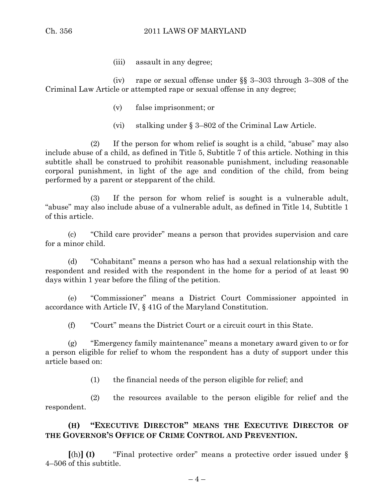(iii) assault in any degree;

(iv) rape or sexual offense under §§ 3–303 through 3–308 of the Criminal Law Article or attempted rape or sexual offense in any degree;

- (v) false imprisonment; or
- (vi) stalking under § 3–802 of the Criminal Law Article.

(2) If the person for whom relief is sought is a child, "abuse" may also include abuse of a child, as defined in Title 5, Subtitle 7 of this article. Nothing in this subtitle shall be construed to prohibit reasonable punishment, including reasonable corporal punishment, in light of the age and condition of the child, from being performed by a parent or stepparent of the child.

(3) If the person for whom relief is sought is a vulnerable adult, "abuse" may also include abuse of a vulnerable adult, as defined in Title 14, Subtitle 1 of this article.

(c) "Child care provider" means a person that provides supervision and care for a minor child.

(d) "Cohabitant" means a person who has had a sexual relationship with the respondent and resided with the respondent in the home for a period of at least 90 days within 1 year before the filing of the petition.

(e) "Commissioner" means a District Court Commissioner appointed in accordance with Article IV, § 41G of the Maryland Constitution.

(f) "Court" means the District Court or a circuit court in this State.

(g) "Emergency family maintenance" means a monetary award given to or for a person eligible for relief to whom the respondent has a duty of support under this article based on:

(1) the financial needs of the person eligible for relief; and

(2) the resources available to the person eligible for relief and the respondent.

## **(H) "EXECUTIVE DIRECTOR" MEANS THE EXECUTIVE DIRECTOR OF THE GOVERNOR'S OFFICE OF CRIME CONTROL AND PREVENTION.**

**[**(h)**] (I)** "Final protective order" means a protective order issued under § 4–506 of this subtitle.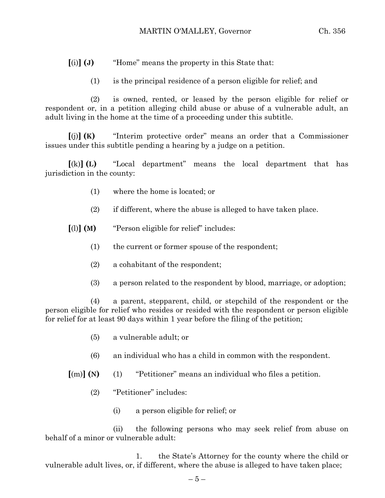**[**(i)**] (J)** "Home" means the property in this State that:

(1) is the principal residence of a person eligible for relief; and

(2) is owned, rented, or leased by the person eligible for relief or respondent or, in a petition alleging child abuse or abuse of a vulnerable adult, an adult living in the home at the time of a proceeding under this subtitle.

**[**(j)**] (K)** "Interim protective order" means an order that a Commissioner issues under this subtitle pending a hearing by a judge on a petition.

**[**(k)**] (L)** "Local department" means the local department that has jurisdiction in the county:

- (1) where the home is located; or
- (2) if different, where the abuse is alleged to have taken place.
- **[**(l)**] (M)** "Person eligible for relief" includes:
	- (1) the current or former spouse of the respondent;
	- (2) a cohabitant of the respondent;
	- (3) a person related to the respondent by blood, marriage, or adoption;

(4) a parent, stepparent, child, or stepchild of the respondent or the person eligible for relief who resides or resided with the respondent or person eligible for relief for at least 90 days within 1 year before the filing of the petition;

- (5) a vulnerable adult; or
- (6) an individual who has a child in common with the respondent.
- **[**(m)**] (N)** (1) "Petitioner" means an individual who files a petition.
	- (2) "Petitioner" includes:
		- (i) a person eligible for relief; or

(ii) the following persons who may seek relief from abuse on behalf of a minor or vulnerable adult:

1. the State's Attorney for the county where the child or vulnerable adult lives, or, if different, where the abuse is alleged to have taken place;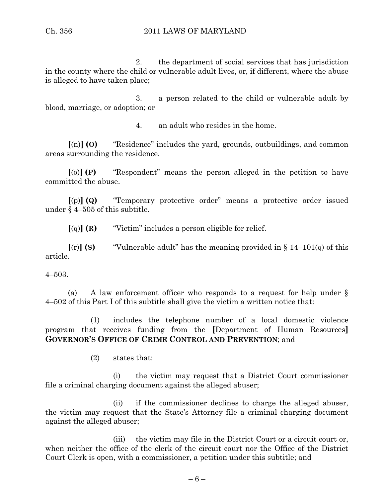2. the department of social services that has jurisdiction in the county where the child or vulnerable adult lives, or, if different, where the abuse is alleged to have taken place;

3. a person related to the child or vulnerable adult by blood, marriage, or adoption; or

4. an adult who resides in the home.

**[**(n)**] (O)** "Residence" includes the yard, grounds, outbuildings, and common areas surrounding the residence.

**[**(o)**] (P)** "Respondent" means the person alleged in the petition to have committed the abuse.

**[**(p)**] (Q)** "Temporary protective order" means a protective order issued under § 4–505 of this subtitle.

**[**(q)**] (R)** "Victim" includes a person eligible for relief.

 $\lceil$ (r)**] (S)** "Vulnerable adult" has the meaning provided in § 14–101(q) of this article.

4–503.

(a) A law enforcement officer who responds to a request for help under § 4–502 of this Part I of this subtitle shall give the victim a written notice that:

(1) includes the telephone number of a local domestic violence program that receives funding from the **[**Department of Human Resources**] GOVERNOR'S OFFICE OF CRIME CONTROL AND PREVENTION**; and

(2) states that:

(i) the victim may request that a District Court commissioner file a criminal charging document against the alleged abuser;

(ii) if the commissioner declines to charge the alleged abuser, the victim may request that the State's Attorney file a criminal charging document against the alleged abuser;

(iii) the victim may file in the District Court or a circuit court or, when neither the office of the clerk of the circuit court nor the Office of the District Court Clerk is open, with a commissioner, a petition under this subtitle; and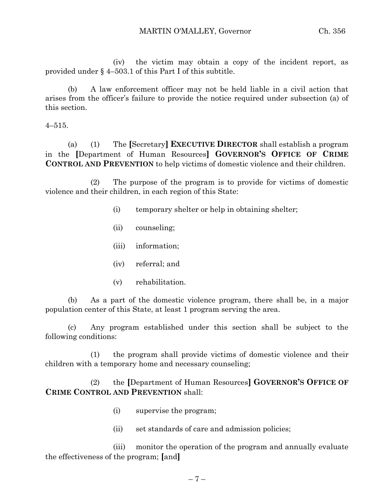(iv) the victim may obtain a copy of the incident report, as provided under § 4–503.1 of this Part I of this subtitle.

(b) A law enforcement officer may not be held liable in a civil action that arises from the officer's failure to provide the notice required under subsection (a) of this section.

4–515.

(a) (1) The **[**Secretary**] EXECUTIVE DIRECTOR** shall establish a program in the **[**Department of Human Resources**] GOVERNOR'S OFFICE OF CRIME CONTROL AND PREVENTION** to help victims of domestic violence and their children.

(2) The purpose of the program is to provide for victims of domestic violence and their children, in each region of this State:

- (i) temporary shelter or help in obtaining shelter;
- (ii) counseling;
- (iii) information;
- (iv) referral; and
- (v) rehabilitation.

(b) As a part of the domestic violence program, there shall be, in a major population center of this State, at least 1 program serving the area.

(c) Any program established under this section shall be subject to the following conditions:

(1) the program shall provide victims of domestic violence and their children with a temporary home and necessary counseling;

(2) the **[**Department of Human Resources**] GOVERNOR'S OFFICE OF CRIME CONTROL AND PREVENTION** shall:

- (i) supervise the program;
- (ii) set standards of care and admission policies;

(iii) monitor the operation of the program and annually evaluate the effectiveness of the program; **[**and**]**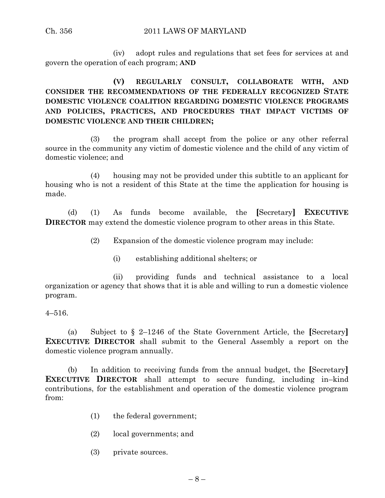(iv) adopt rules and regulations that set fees for services at and govern the operation of each program; **AND**

## **(V) REGULARLY CONSULT, COLLABORATE WITH, AND CONSIDER THE RECOMMENDATIONS OF THE FEDERALLY RECOGNIZED STATE DOMESTIC VIOLENCE COALITION REGARDING DOMESTIC VIOLENCE PROGRAMS AND POLICIES, PRACTICES, AND PROCEDURES THAT IMPACT VICTIMS OF DOMESTIC VIOLENCE AND THEIR CHILDREN;**

(3) the program shall accept from the police or any other referral source in the community any victim of domestic violence and the child of any victim of domestic violence; and

(4) housing may not be provided under this subtitle to an applicant for housing who is not a resident of this State at the time the application for housing is made.

(d) (1) As funds become available, the **[**Secretary**] EXECUTIVE DIRECTOR** may extend the domestic violence program to other areas in this State.

(2) Expansion of the domestic violence program may include:

(i) establishing additional shelters; or

(ii) providing funds and technical assistance to a local organization or agency that shows that it is able and willing to run a domestic violence program.

4–516.

(a) Subject to § 2–1246 of the State Government Article, the **[**Secretary**] EXECUTIVE DIRECTOR** shall submit to the General Assembly a report on the domestic violence program annually.

(b) In addition to receiving funds from the annual budget, the **[**Secretary**] EXECUTIVE DIRECTOR** shall attempt to secure funding, including in–kind contributions, for the establishment and operation of the domestic violence program from:

- (1) the federal government;
- (2) local governments; and
- (3) private sources.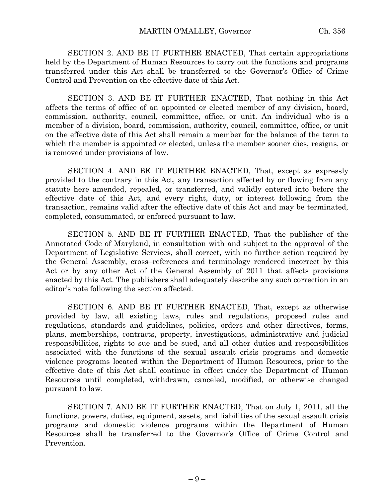SECTION 2. AND BE IT FURTHER ENACTED, That certain appropriations held by the Department of Human Resources to carry out the functions and programs transferred under this Act shall be transferred to the Governor's Office of Crime Control and Prevention on the effective date of this Act.

SECTION 3. AND BE IT FURTHER ENACTED, That nothing in this Act affects the terms of office of an appointed or elected member of any division, board, commission, authority, council, committee, office, or unit. An individual who is a member of a division, board, commission, authority, council, committee, office, or unit on the effective date of this Act shall remain a member for the balance of the term to which the member is appointed or elected, unless the member sooner dies, resigns, or is removed under provisions of law.

SECTION 4. AND BE IT FURTHER ENACTED, That, except as expressly provided to the contrary in this Act, any transaction affected by or flowing from any statute here amended, repealed, or transferred, and validly entered into before the effective date of this Act, and every right, duty, or interest following from the transaction, remains valid after the effective date of this Act and may be terminated, completed, consummated, or enforced pursuant to law.

SECTION 5. AND BE IT FURTHER ENACTED, That the publisher of the Annotated Code of Maryland, in consultation with and subject to the approval of the Department of Legislative Services, shall correct, with no further action required by the General Assembly, cross–references and terminology rendered incorrect by this Act or by any other Act of the General Assembly of 2011 that affects provisions enacted by this Act. The publishers shall adequately describe any such correction in an editor's note following the section affected.

SECTION 6. AND BE IT FURTHER ENACTED, That, except as otherwise provided by law, all existing laws, rules and regulations, proposed rules and regulations, standards and guidelines, policies, orders and other directives, forms, plans, memberships, contracts, property, investigations, administrative and judicial responsibilities, rights to sue and be sued, and all other duties and responsibilities associated with the functions of the sexual assault crisis programs and domestic violence programs located within the Department of Human Resources, prior to the effective date of this Act shall continue in effect under the Department of Human Resources until completed, withdrawn, canceled, modified, or otherwise changed pursuant to law.

SECTION 7. AND BE IT FURTHER ENACTED, That on July 1, 2011, all the functions, powers, duties, equipment, assets, and liabilities of the sexual assault crisis programs and domestic violence programs within the Department of Human Resources shall be transferred to the Governor's Office of Crime Control and Prevention.